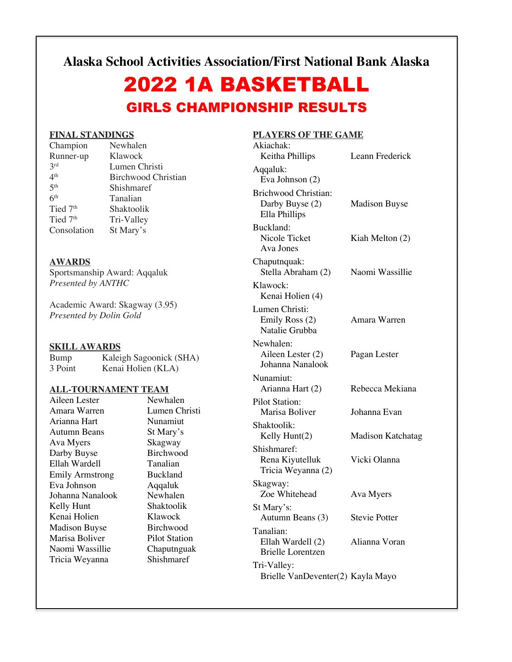**Alaska School Activities Association/First National Bank Alaska**

# 2022 1A BASKETBALL GIRLS CHAMPIONSHIP RESULTS

### **FINAL STANDINGS**

| Champion             | Newhalen                   |
|----------------------|----------------------------|
| Runner-up            | Klawock                    |
| 2rd                  | Lumen Christi              |
| 4 <sup>th</sup>      | <b>Birchwood Christian</b> |
| 5 <sup>th</sup>      | Shishmaref                 |
| 6 <sup>th</sup>      | Tanalian                   |
| Tied 7 <sup>th</sup> | Shaktoolik                 |
| Tied 7 <sup>th</sup> | Tri-Valley                 |
| Consolation          | St Mary's                  |

### **AWARDS**

Sportsmanship Award: Aqqaluk *Presented by ANTHC*

Academic Award: Skagway (3.95) *Presented by Dolin Gold*

### **SKILL AWARDS**

Bump Kaleigh Sagoonick (SHA)<br>3 Point Kenai Holien (KLA) Kenai Holien (KLA)

### **ALL-TOURNAMENT TEAM**

Aileen Lester Newhalen<br>Amara Warren Lumen Ch Arianna Hart Nunamiut Autumn Beans St Mary's Ava Myers Skagway Darby Buyse Birchwood Ellah Wardell Tanalian Emily Armstrong Buckland Eva Johnson Aqqaluk Johanna Nanalook Newhalen<br>Kelly Hunt Shaktoolik Kelly Hunt Kenai Holien Klawock Madison Buyse Birchwood Marisa Boliver Pilot Station Naomi Wassillie Chaputnguak Tricia Weyanna Shishmaref

Lumen Christi

## **PLAYERS OF THE GAME**

| Akiachak:                                                  |                      |
|------------------------------------------------------------|----------------------|
| Keitha Phillips                                            | Leann Frederick      |
| Aqqaluk:<br>Eva Johnson (2)                                |                      |
| Brichwood Christian:<br>Darby Buyse (2)<br>Ella Phillips   | <b>Madison Buyse</b> |
| Buckland:<br>Nicole Ticket<br>Ava Jones                    | Kiah Melton (2)      |
| Chaputnquak:<br>Stella Abraham (2)                         | Naomi Wassillie      |
| Klawock:<br>Kenai Holien (4)                               |                      |
| Lumen Christi:<br>Emily Ross (2)<br>Natalie Grubba         | Amara Warren         |
| Newhalen:<br>Aileen Lester (2)<br>Johanna Nanalook         | Pagan Lester         |
| Nunamiut:<br>Arianna Hart (2)                              | Rebecca Mekiana      |
| <b>Pilot Station:</b><br>Marisa Boliver                    | Johanna Evan         |
| Shaktoolik:<br>Kelly Hunt(2)                               | Madison Katchatag    |
| Shishmaref:<br>Rena Kiyutelluk<br>Tricia Weyanna (2)       | Vicki Olanna         |
| Skagway:<br>Zoe Whitehead                                  | Ava Myers            |
| St Mary's:<br>Autumn Beans (3)                             | <b>Stevie Potter</b> |
| Tanalian:<br>Ellah Wardell (2)<br><b>Brielle Lorentzen</b> | Alianna Voran        |
| Tri-Valley:<br>Brielle VanDeventer(2) Kayla Mayo           |                      |